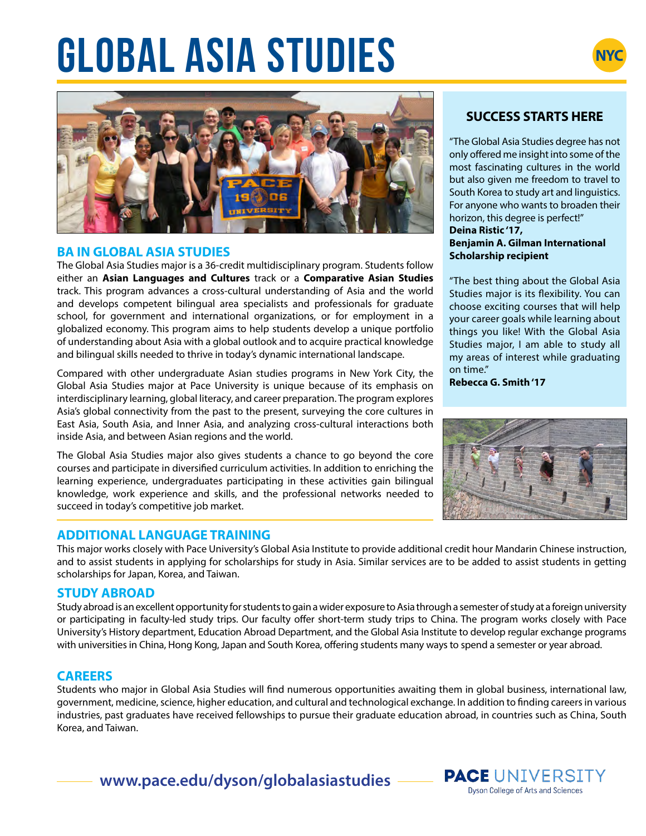# **GLOBAL ASIA STUDIES**





### **BA IN GLOBAL ASIA STUDIES**

The Global Asia Studies major is a 36-credit multidisciplinary program. Students follow either an **Asian Languages and Cultures** track or a **Comparative Asian Studies**  track. This program advances a cross-cultural understanding of Asia and the world and develops competent bilingual area specialists and professionals for graduate school, for government and international organizations, or for employment in a globalized economy. This program aims to help students develop a unique portfolio of understanding about Asia with a global outlook and to acquire practical knowledge and bilingual skills needed to thrive in today's dynamic international landscape.

Compared with other undergraduate Asian studies programs in New York City, the Global Asia Studies major at Pace University is unique because of its emphasis on interdisciplinary learning, global literacy, and career preparation. The program explores Asia's global connectivity from the past to the present, surveying the core cultures in East Asia, South Asia, and Inner Asia, and analyzing cross-cultural interactions both inside Asia, and between Asian regions and the world.

The Global Asia Studies major also gives students a chance to go beyond the core courses and participate in diversified curriculum activities. In addition to enriching the learning experience, undergraduates participating in these activities gain bilingual knowledge, work experience and skills, and the professional networks needed to succeed in today's competitive job market.

### **ADDITIONAL LANGUAGE TRAINING**

This major works closely with Pace University's Global Asia Institute to provide additional credit hour Mandarin Chinese instruction, and to assist students in applying for scholarships for study in Asia. Similar services are to be added to assist students in getting scholarships for Japan, Korea, and Taiwan.

### **STUDY ABROAD**

Study abroad is an excellent opportunity for students to gain a wider exposure to Asia through a semester of study at a foreign university or participating in faculty-led study trips. Our faculty offer short-term study trips to China. The program works closely with Pace University's History department, Education Abroad Department, and the Global Asia Institute to develop regular exchange programs with universities in China, Hong Kong, Japan and South Korea, offering students many ways to spend a semester or year abroad.

### **CAREERS**

Students who major in Global Asia Studies will find numerous opportunities awaiting them in global business, international law, government, medicine, science, higher education, and cultural and technological exchange. In addition to finding careers in various industries, past graduates have received fellowships to pursue their graduate education abroad, in countries such as China, South Korea, and Taiwan.

### **www.pace.edu/dyson/globalasiastudies**

### **SUCCESS STARTS HERE**

"The Global Asia Studies degree has not only offered me insight into some of the most fascinating cultures in the world but also given me freedom to travel to South Korea to study art and linguistics. For anyone who wants to broaden their horizon, this degree is perfect!" **Deina Ristic '17, Benjamin A. Gilman International Scholarship recipient**

"The best thing about the Global Asia Studies major is its flexibility. You can choose exciting courses that will help your career goals while learning about things you like! With the Global Asia Studies major, I am able to study all my areas of interest while graduating on time."

**Rebecca G. Smith '17**